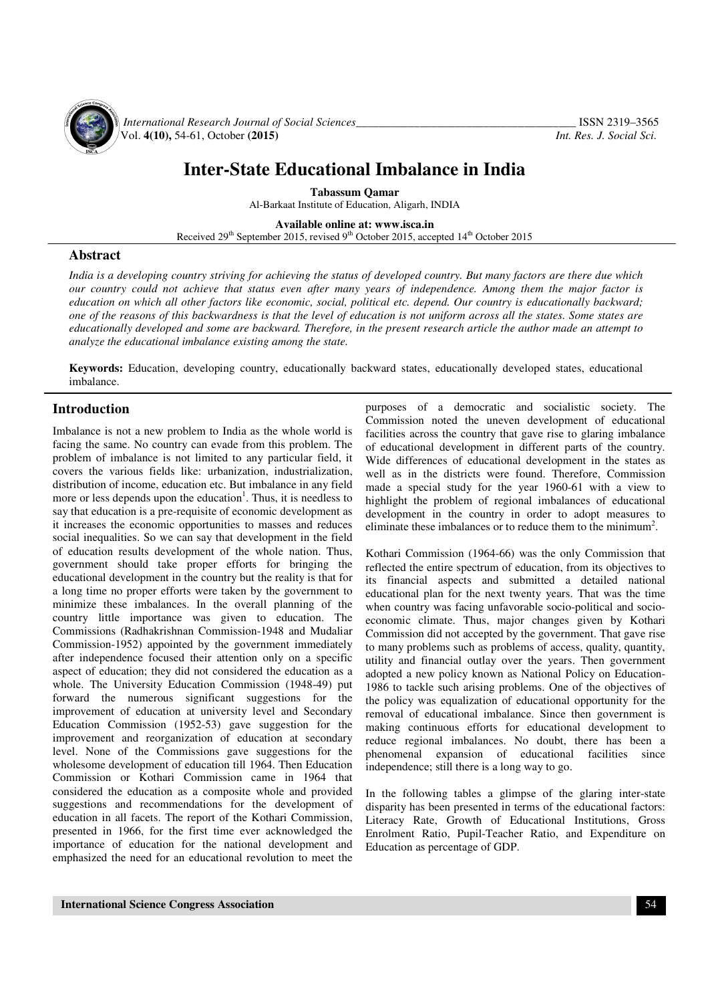

 *International Research Journal of Social Sciences\_\_\_\_\_\_\_\_\_\_\_\_\_\_\_\_\_\_\_\_\_\_\_\_\_\_\_\_\_\_\_\_\_\_\_\_\_\_* ISSN 2319–3565 Vol. **4(10),** 54-61, October **(2015)** *Int. Res. J. Social Sci.*

# **Inter-State Educational Imbalance in India**

**Tabassum Qamar** 

Al-Barkaat Institute of Education, Aligarh, INDIA

**Available online at: www.isca.in** 

Received 29<sup>th</sup> September 2015, revised 9<sup>th</sup> October 2015, accepted 14<sup>th</sup> October 2015

## **Abstract**

*India is a developing country striving for achieving the status of developed country. But many factors are there due which our country could not achieve that status even after many years of independence. Among them the major factor is education on which all other factors like economic, social, political etc. depend. Our country is educationally backward; one of the reasons of this backwardness is that the level of education is not uniform across all the states. Some states are educationally developed and some are backward. Therefore, in the present research article the author made an attempt to analyze the educational imbalance existing among the state.* 

**Keywords:** Education, developing country, educationally backward states, educationally developed states, educational imbalance.

## **Introduction**

Imbalance is not a new problem to India as the whole world is facing the same. No country can evade from this problem. The problem of imbalance is not limited to any particular field, it covers the various fields like: urbanization, industrialization, distribution of income, education etc. But imbalance in any field more or less depends upon the education<sup>1</sup>. Thus, it is needless to say that education is a pre-requisite of economic development as it increases the economic opportunities to masses and reduces social inequalities. So we can say that development in the field of education results development of the whole nation. Thus, government should take proper efforts for bringing the educational development in the country but the reality is that for a long time no proper efforts were taken by the government to minimize these imbalances. In the overall planning of the country little importance was given to education. The Commissions (Radhakrishnan Commission-1948 and Mudaliar Commission-1952) appointed by the government immediately after independence focused their attention only on a specific aspect of education; they did not considered the education as a whole. The University Education Commission (1948-49) put forward the numerous significant suggestions for the improvement of education at university level and Secondary Education Commission (1952-53) gave suggestion for the improvement and reorganization of education at secondary level. None of the Commissions gave suggestions for the wholesome development of education till 1964. Then Education Commission or Kothari Commission came in 1964 that considered the education as a composite whole and provided suggestions and recommendations for the development of education in all facets. The report of the Kothari Commission, presented in 1966, for the first time ever acknowledged the importance of education for the national development and emphasized the need for an educational revolution to meet the

purposes of a democratic and socialistic society. The Commission noted the uneven development of educational facilities across the country that gave rise to glaring imbalance of educational development in different parts of the country. Wide differences of educational development in the states as well as in the districts were found. Therefore, Commission made a special study for the year 1960-61 with a view to highlight the problem of regional imbalances of educational development in the country in order to adopt measures to eliminate these imbalances or to reduce them to the minimum<sup>2</sup>.

Kothari Commission (1964-66) was the only Commission that reflected the entire spectrum of education, from its objectives to its financial aspects and submitted a detailed national educational plan for the next twenty years. That was the time when country was facing unfavorable socio-political and socioeconomic climate. Thus, major changes given by Kothari Commission did not accepted by the government. That gave rise to many problems such as problems of access, quality, quantity, utility and financial outlay over the years. Then government adopted a new policy known as National Policy on Education-1986 to tackle such arising problems. One of the objectives of the policy was equalization of educational opportunity for the removal of educational imbalance. Since then government is making continuous efforts for educational development to reduce regional imbalances. No doubt, there has been a phenomenal expansion of educational facilities since independence; still there is a long way to go.

In the following tables a glimpse of the glaring inter-state disparity has been presented in terms of the educational factors: Literacy Rate, Growth of Educational Institutions, Gross Enrolment Ratio, Pupil-Teacher Ratio, and Expenditure on Education as percentage of GDP.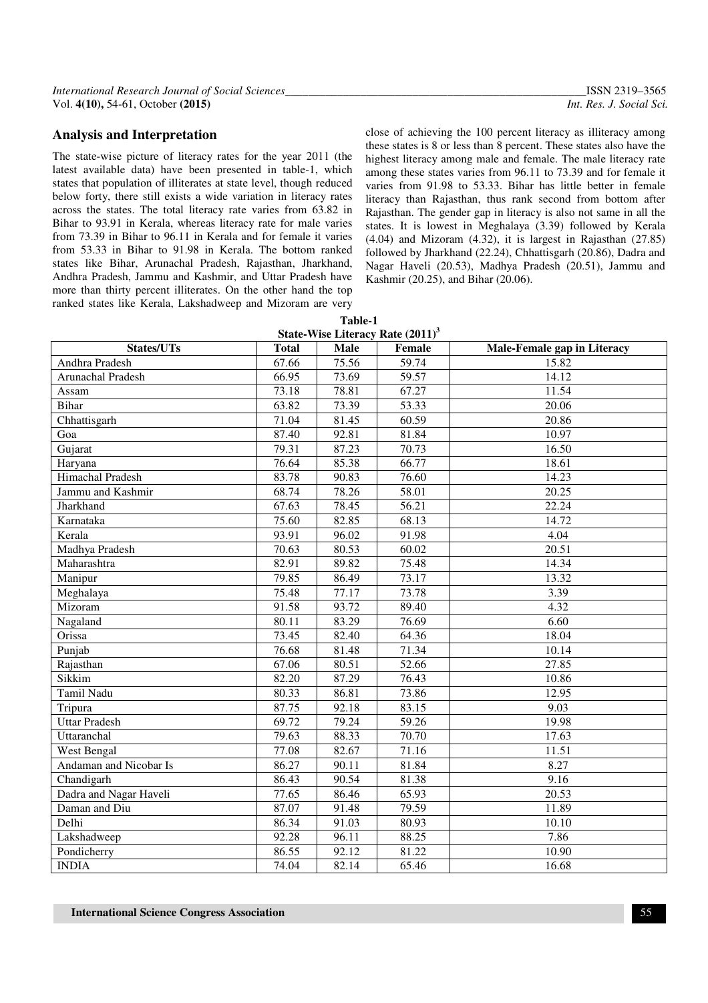#### **Analysis and Interpretation**

The state-wise picture of literacy rates for the year 2011 (the latest available data) have been presented in table-1, which states that population of illiterates at state level, though reduced below forty, there still exists a wide variation in literacy rates across the states. The total literacy rate varies from 63.82 in Bihar to 93.91 in Kerala, whereas literacy rate for male varies from 73.39 in Bihar to 96.11 in Kerala and for female it varies from 53.33 in Bihar to 91.98 in Kerala. The bottom ranked states like Bihar, Arunachal Pradesh, Rajasthan, Jharkhand, Andhra Pradesh, Jammu and Kashmir, and Uttar Pradesh have more than thirty percent illiterates. On the other hand the top ranked states like Kerala, Lakshadweep and Mizoram are very

close of achieving the 100 percent literacy as illiteracy among these states is 8 or less than 8 percent. These states also have the highest literacy among male and female. The male literacy rate among these states varies from 96.11 to 73.39 and for female it varies from 91.98 to 53.33. Bihar has little better in female literacy than Rajasthan, thus rank second from bottom after Rajasthan. The gender gap in literacy is also not same in all the states. It is lowest in Meghalaya (3.39) followed by Kerala (4.04) and Mizoram (4.32), it is largest in Rajasthan (27.85) followed by Jharkhand (22.24), Chhattisgarh (20.86), Dadra and Nagar Haveli (20.53), Madhya Pradesh (20.51), Jammu and Kashmir (20.25), and Bihar (20.06).

|                                  | Table-1 |  |  |
|----------------------------------|---------|--|--|
| Stote-Wise I iteracy Rote (2011) |         |  |  |

| State-Wise Literacy Rate (2011) <sup>3</sup> |              |             |        |                             |  |
|----------------------------------------------|--------------|-------------|--------|-----------------------------|--|
| States/UTs                                   | <b>Total</b> | <b>Male</b> | Female | Male-Female gap in Literacy |  |
| Andhra Pradesh                               | 67.66        | 75.56       | 59.74  | 15.82                       |  |
| Arunachal Pradesh                            | 66.95        | 73.69       | 59.57  | 14.12                       |  |
| Assam                                        | 73.18        | 78.81       | 67.27  | 11.54                       |  |
| <b>Bihar</b>                                 | 63.82        | 73.39       | 53.33  | 20.06                       |  |
| Chhattisgarh                                 | 71.04        | 81.45       | 60.59  | 20.86                       |  |
| Goa                                          | 87.40        | 92.81       | 81.84  | 10.97                       |  |
| Gujarat                                      | 79.31        | 87.23       | 70.73  | 16.50                       |  |
| Haryana                                      | 76.64        | 85.38       | 66.77  | 18.61                       |  |
| Himachal Pradesh                             | 83.78        | 90.83       | 76.60  | 14.23                       |  |
| Jammu and Kashmir                            | 68.74        | 78.26       | 58.01  | 20.25                       |  |
| Jharkhand                                    | 67.63        | 78.45       | 56.21  | 22.24                       |  |
| Karnataka                                    | 75.60        | 82.85       | 68.13  | 14.72                       |  |
| Kerala                                       | 93.91        | 96.02       | 91.98  | 4.04                        |  |
| Madhya Pradesh                               | 70.63        | 80.53       | 60.02  | 20.51                       |  |
| Maharashtra                                  | 82.91        | 89.82       | 75.48  | 14.34                       |  |
| Manipur                                      | 79.85        | 86.49       | 73.17  | 13.32                       |  |
| Meghalaya                                    | 75.48        | 77.17       | 73.78  | 3.39                        |  |
| Mizoram                                      | 91.58        | 93.72       | 89.40  | 4.32                        |  |
| Nagaland                                     | 80.11        | 83.29       | 76.69  | 6.60                        |  |
| Orissa                                       | 73.45        | 82.40       | 64.36  | 18.04                       |  |
| Punjab                                       | 76.68        | 81.48       | 71.34  | 10.14                       |  |
| Rajasthan                                    | 67.06        | 80.51       | 52.66  | 27.85                       |  |
| Sikkim                                       | 82.20        | 87.29       | 76.43  | 10.86                       |  |
| Tamil Nadu                                   | 80.33        | 86.81       | 73.86  | 12.95                       |  |
| Tripura                                      | 87.75        | 92.18       | 83.15  | 9.03                        |  |
| <b>Uttar Pradesh</b>                         | 69.72        | 79.24       | 59.26  | 19.98                       |  |
| Uttaranchal                                  | 79.63        | 88.33       | 70.70  | 17.63                       |  |
| West Bengal                                  | 77.08        | 82.67       | 71.16  | 11.51                       |  |
| Andaman and Nicobar Is                       | 86.27        | 90.11       | 81.84  | 8.27                        |  |
| Chandigarh                                   | 86.43        | 90.54       | 81.38  | 9.16                        |  |
| Dadra and Nagar Haveli                       | 77.65        | 86.46       | 65.93  | 20.53                       |  |
| Daman and Diu                                | 87.07        | 91.48       | 79.59  | 11.89                       |  |
| Delhi                                        | 86.34        | 91.03       | 80.93  | 10.10                       |  |
| Lakshadweep                                  | 92.28        | 96.11       | 88.25  | 7.86                        |  |
| Pondicherry                                  | 86.55        | 92.12       | 81.22  | 10.90                       |  |
| <b>INDIA</b>                                 | 74.04        | 82.14       | 65.46  | 16.68                       |  |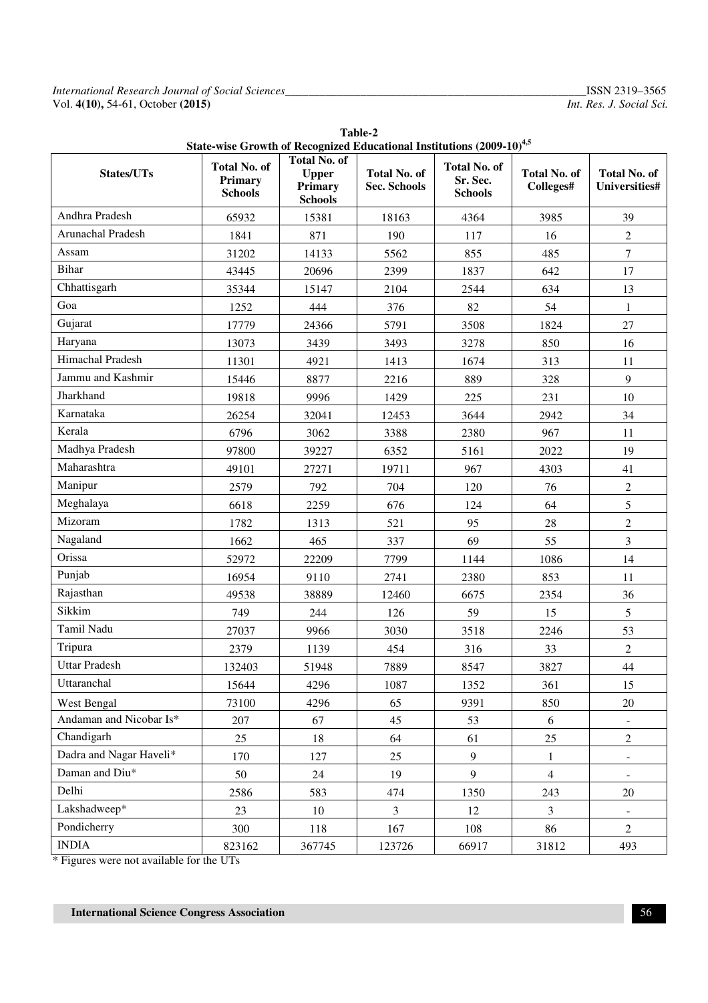| $\beta$ are $\gamma$ and $\alpha$ is the property contribution of $\alpha$ and $\beta$ |                                                  |                                                                         |                                     |                                                   |                                  |                                      |
|----------------------------------------------------------------------------------------|--------------------------------------------------|-------------------------------------------------------------------------|-------------------------------------|---------------------------------------------------|----------------------------------|--------------------------------------|
| States/UTs                                                                             | <b>Total No. of</b><br>Primary<br><b>Schools</b> | <b>Total No. of</b><br><b>Upper</b><br><b>Primary</b><br><b>Schools</b> | Total No. of<br><b>Sec. Schools</b> | <b>Total No. of</b><br>Sr. Sec.<br><b>Schools</b> | <b>Total No. of</b><br>Colleges# | <b>Total No. of</b><br>Universities# |
| Andhra Pradesh                                                                         | 65932                                            | 15381                                                                   | 18163                               | 4364                                              | 3985                             | 39                                   |
| Arunachal Pradesh                                                                      | 1841                                             | 871                                                                     | 190                                 | 117                                               | 16                               | $\overline{2}$                       |
| Assam                                                                                  | 31202                                            | 14133                                                                   | 5562                                | 855                                               | 485                              | $\boldsymbol{7}$                     |
| <b>Bihar</b>                                                                           | 43445                                            | 20696                                                                   | 2399                                | 1837                                              | 642                              | 17                                   |
| Chhattisgarh                                                                           | 35344                                            | 15147                                                                   | 2104                                | 2544                                              | 634                              | 13                                   |
| Goa                                                                                    | 1252                                             | 444                                                                     | 376                                 | 82                                                | 54                               | 1                                    |
| Gujarat                                                                                | 17779                                            | 24366                                                                   | 5791                                | 3508                                              | 1824                             | 27                                   |
| Haryana                                                                                | 13073                                            | 3439                                                                    | 3493                                | 3278                                              | 850                              | 16                                   |
| Himachal Pradesh                                                                       | 11301                                            | 4921                                                                    | 1413                                | 1674                                              | 313                              | 11                                   |
| Jammu and Kashmir                                                                      | 15446                                            | 8877                                                                    | 2216                                | 889                                               | 328                              | 9                                    |
| Jharkhand                                                                              | 19818                                            | 9996                                                                    | 1429                                | 225                                               | 231                              | 10                                   |
| Karnataka                                                                              | 26254                                            | 32041                                                                   | 12453                               | 3644                                              | 2942                             | 34                                   |
| Kerala                                                                                 | 6796                                             | 3062                                                                    | 3388                                | 2380                                              | 967                              | 11                                   |
| Madhya Pradesh                                                                         | 97800                                            | 39227                                                                   | 6352                                | 5161                                              | 2022                             | 19                                   |
| Maharashtra                                                                            | 49101                                            | 27271                                                                   | 19711                               | 967                                               | 4303                             | 41                                   |
| Manipur                                                                                | 2579                                             | 792                                                                     | 704                                 | 120                                               | 76                               | $\overline{2}$                       |
| Meghalaya                                                                              | 6618                                             | 2259                                                                    | 676                                 | 124                                               | 64                               | 5                                    |
| Mizoram                                                                                | 1782                                             | 1313                                                                    | 521                                 | 95                                                | 28                               | $\overline{2}$                       |
| Nagaland                                                                               | 1662                                             | 465                                                                     | 337                                 | 69                                                | 55                               | 3                                    |
| Orissa                                                                                 | 52972                                            | 22209                                                                   | 7799                                | 1144                                              | 1086                             | 14                                   |
| Punjab                                                                                 | 16954                                            | 9110                                                                    | 2741                                | 2380                                              | 853                              | 11                                   |
| Rajasthan                                                                              | 49538                                            | 38889                                                                   | 12460                               | 6675                                              | 2354                             | 36                                   |
| Sikkim                                                                                 | 749                                              | 244                                                                     | 126                                 | 59                                                | 15                               | 5                                    |
| Tamil Nadu                                                                             | 27037                                            | 9966                                                                    | 3030                                | 3518                                              | 2246                             | 53                                   |
| Tripura                                                                                | 2379                                             | 1139                                                                    | 454                                 | 316                                               | 33                               | $\overline{c}$                       |
| <b>Uttar Pradesh</b>                                                                   | 132403                                           | 51948                                                                   | 7889                                | 8547                                              | 3827                             | 44                                   |
| Uttaranchal                                                                            | 15644                                            | 4296                                                                    | 1087                                | 1352                                              | 361                              | 15                                   |
| West Bengal                                                                            | 73100                                            | 4296                                                                    | 65                                  | 9391                                              | 850                              | 20                                   |
| Andaman and Nicobar Is*                                                                | 207                                              | 67                                                                      | 45                                  | 53                                                | 6                                | $\frac{1}{2}$                        |
| Chandigarh                                                                             | 25                                               | 18                                                                      | 64                                  | 61                                                | 25                               | $\sqrt{2}$                           |
| Dadra and Nagar Haveli*                                                                | 170                                              | 127                                                                     | 25                                  | 9                                                 | $\mathbf{1}$                     | $\frac{1}{2}$                        |
| Daman and Diu*                                                                         | 50                                               | 24                                                                      | 19                                  | 9                                                 | $\overline{4}$                   |                                      |
| Delhi                                                                                  | 2586                                             | 583                                                                     | 474                                 | 1350                                              | 243                              | $20\,$                               |
| Lakshadweep*                                                                           | 23                                               | 10                                                                      | $\overline{3}$                      | 12                                                | $\mathfrak{Z}$                   | $\frac{1}{2}$                        |
| Pondicherry                                                                            | 300                                              | 118                                                                     | 167                                 | 108                                               | 86                               | $\overline{2}$                       |
| <b>INDIA</b>                                                                           | 823162                                           | 367745                                                                  | 123726                              | 66917                                             | 31812                            | 493                                  |

**Table-2 State-wise Growth of Recognized Educational Institutions (2009-10)4,5** 

\* Figures were not available for the UTs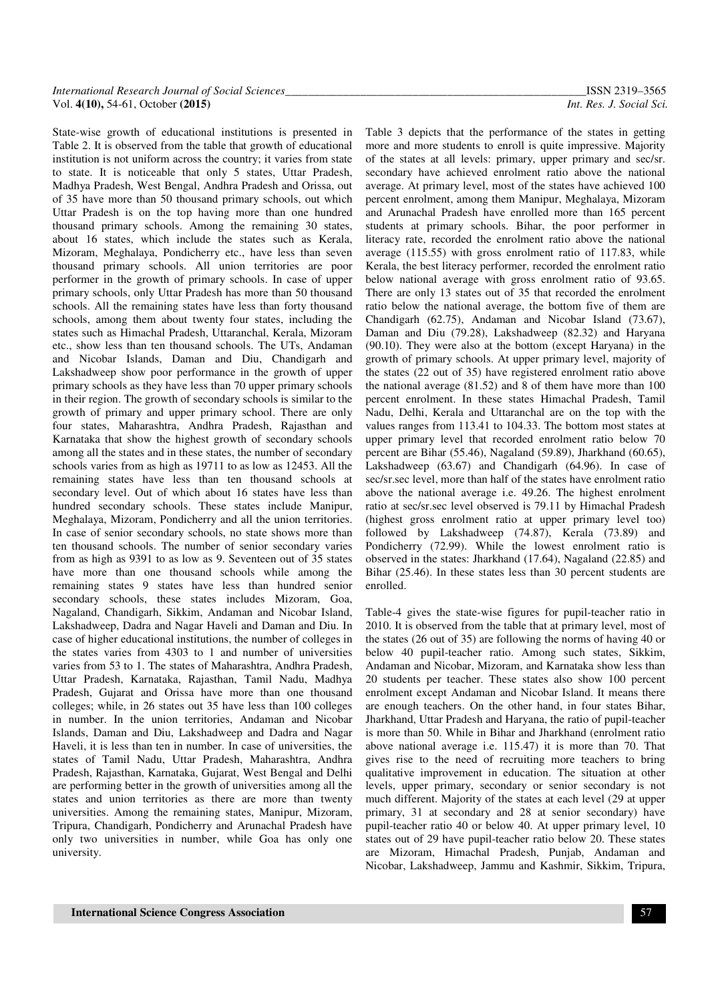State-wise growth of educational institutions is presented in Table 2. It is observed from the table that growth of educational institution is not uniform across the country; it varies from state to state. It is noticeable that only 5 states, Uttar Pradesh, Madhya Pradesh, West Bengal, Andhra Pradesh and Orissa, out of 35 have more than 50 thousand primary schools, out which Uttar Pradesh is on the top having more than one hundred thousand primary schools. Among the remaining 30 states, about 16 states, which include the states such as Kerala, Mizoram, Meghalaya, Pondicherry etc., have less than seven thousand primary schools. All union territories are poor performer in the growth of primary schools. In case of upper primary schools, only Uttar Pradesh has more than 50 thousand schools. All the remaining states have less than forty thousand schools, among them about twenty four states, including the states such as Himachal Pradesh, Uttaranchal, Kerala, Mizoram etc., show less than ten thousand schools. The UTs, Andaman and Nicobar Islands, Daman and Diu, Chandigarh and Lakshadweep show poor performance in the growth of upper primary schools as they have less than 70 upper primary schools in their region. The growth of secondary schools is similar to the growth of primary and upper primary school. There are only four states, Maharashtra, Andhra Pradesh, Rajasthan and Karnataka that show the highest growth of secondary schools among all the states and in these states, the number of secondary schools varies from as high as 19711 to as low as 12453. All the remaining states have less than ten thousand schools at secondary level. Out of which about 16 states have less than hundred secondary schools. These states include Manipur, Meghalaya, Mizoram, Pondicherry and all the union territories. In case of senior secondary schools, no state shows more than ten thousand schools. The number of senior secondary varies from as high as 9391 to as low as 9. Seventeen out of 35 states have more than one thousand schools while among the remaining states 9 states have less than hundred senior secondary schools, these states includes Mizoram, Goa, Nagaland, Chandigarh, Sikkim, Andaman and Nicobar Island, Lakshadweep, Dadra and Nagar Haveli and Daman and Diu. In case of higher educational institutions, the number of colleges in the states varies from 4303 to 1 and number of universities varies from 53 to 1. The states of Maharashtra, Andhra Pradesh, Uttar Pradesh, Karnataka, Rajasthan, Tamil Nadu, Madhya Pradesh, Gujarat and Orissa have more than one thousand colleges; while, in 26 states out 35 have less than 100 colleges in number. In the union territories, Andaman and Nicobar Islands, Daman and Diu, Lakshadweep and Dadra and Nagar Haveli, it is less than ten in number. In case of universities, the states of Tamil Nadu, Uttar Pradesh, Maharashtra, Andhra Pradesh, Rajasthan, Karnataka, Gujarat, West Bengal and Delhi are performing better in the growth of universities among all the states and union territories as there are more than twenty universities. Among the remaining states, Manipur, Mizoram, Tripura, Chandigarh, Pondicherry and Arunachal Pradesh have only two universities in number, while Goa has only one university.

Table 3 depicts that the performance of the states in getting more and more students to enroll is quite impressive. Majority of the states at all levels: primary, upper primary and sec/sr. secondary have achieved enrolment ratio above the national average. At primary level, most of the states have achieved 100 percent enrolment, among them Manipur, Meghalaya, Mizoram and Arunachal Pradesh have enrolled more than 165 percent students at primary schools. Bihar, the poor performer in literacy rate, recorded the enrolment ratio above the national average (115.55) with gross enrolment ratio of 117.83, while Kerala, the best literacy performer, recorded the enrolment ratio below national average with gross enrolment ratio of 93.65. There are only 13 states out of 35 that recorded the enrolment ratio below the national average, the bottom five of them are Chandigarh (62.75), Andaman and Nicobar Island (73.67), Daman and Diu (79.28), Lakshadweep (82.32) and Haryana (90.10). They were also at the bottom (except Haryana) in the growth of primary schools. At upper primary level, majority of the states (22 out of 35) have registered enrolment ratio above the national average (81.52) and 8 of them have more than 100 percent enrolment. In these states Himachal Pradesh, Tamil Nadu, Delhi, Kerala and Uttaranchal are on the top with the values ranges from 113.41 to 104.33. The bottom most states at upper primary level that recorded enrolment ratio below 70 percent are Bihar (55.46), Nagaland (59.89), Jharkhand (60.65), Lakshadweep (63.67) and Chandigarh (64.96). In case of sec/sr.sec level, more than half of the states have enrolment ratio above the national average i.e. 49.26. The highest enrolment ratio at sec/sr.sec level observed is 79.11 by Himachal Pradesh (highest gross enrolment ratio at upper primary level too) followed by Lakshadweep (74.87), Kerala (73.89) and Pondicherry (72.99). While the lowest enrolment ratio is observed in the states: Jharkhand (17.64), Nagaland (22.85) and Bihar (25.46). In these states less than 30 percent students are enrolled.

Table-4 gives the state-wise figures for pupil-teacher ratio in 2010. It is observed from the table that at primary level, most of the states (26 out of 35) are following the norms of having 40 or below 40 pupil-teacher ratio. Among such states, Sikkim, Andaman and Nicobar, Mizoram, and Karnataka show less than 20 students per teacher. These states also show 100 percent enrolment except Andaman and Nicobar Island. It means there are enough teachers. On the other hand, in four states Bihar, Jharkhand, Uttar Pradesh and Haryana, the ratio of pupil-teacher is more than 50. While in Bihar and Jharkhand (enrolment ratio above national average i.e. 115.47) it is more than 70. That gives rise to the need of recruiting more teachers to bring qualitative improvement in education. The situation at other levels, upper primary, secondary or senior secondary is not much different. Majority of the states at each level (29 at upper primary, 31 at secondary and 28 at senior secondary) have pupil-teacher ratio 40 or below 40. At upper primary level, 10 states out of 29 have pupil-teacher ratio below 20. These states are Mizoram, Himachal Pradesh, Punjab, Andaman and Nicobar, Lakshadweep, Jammu and Kashmir, Sikkim, Tripura,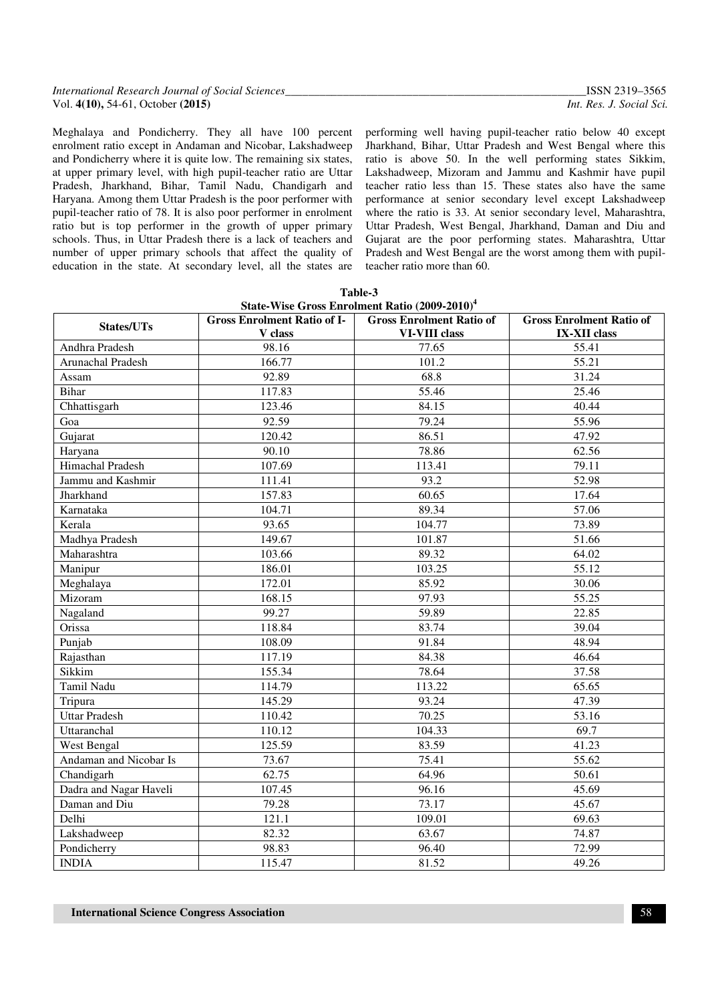| International Research Journal of Social Sciences | ISSN 2319-3565           |
|---------------------------------------------------|--------------------------|
| Vol. $4(10)$ , 54-61, October $(2015)$            | Int. Res. J. Social Sci. |

Meghalaya and Pondicherry. They all have 100 percent enrolment ratio except in Andaman and Nicobar, Lakshadweep and Pondicherry where it is quite low. The remaining six states, at upper primary level, with high pupil-teacher ratio are Uttar Pradesh, Jharkhand, Bihar, Tamil Nadu, Chandigarh and Haryana. Among them Uttar Pradesh is the poor performer with pupil-teacher ratio of 78. It is also poor performer in enrolment ratio but is top performer in the growth of upper primary schools. Thus, in Uttar Pradesh there is a lack of teachers and number of upper primary schools that affect the quality of education in the state. At secondary level, all the states are

performing well having pupil-teacher ratio below 40 except Jharkhand, Bihar, Uttar Pradesh and West Bengal where this ratio is above 50. In the well performing states Sikkim, Lakshadweep, Mizoram and Jammu and Kashmir have pupil teacher ratio less than 15. These states also have the same performance at senior secondary level except Lakshadweep where the ratio is 33. At senior secondary level, Maharashtra, Uttar Pradesh, West Bengal, Jharkhand, Daman and Diu and Gujarat are the poor performing states. Maharashtra, Uttar Pradesh and West Bengal are the worst among them with pupilteacher ratio more than 60.

| Table-3<br>State-Wise Gross Enrolment Ratio (2009-2010) <sup>4</sup> |                                               |                                                         |                                                        |
|----------------------------------------------------------------------|-----------------------------------------------|---------------------------------------------------------|--------------------------------------------------------|
| States/UTs                                                           | <b>Gross Enrolment Ratio of I-</b><br>V class | <b>Gross Enrolment Ratio of</b><br><b>VI-VIII class</b> | <b>Gross Enrolment Ratio of</b><br><b>IX-XII</b> class |
| Andhra Pradesh                                                       | 98.16                                         | 77.65                                                   | 55.41                                                  |
| Arunachal Pradesh                                                    | 166.77                                        | 101.2                                                   | 55.21                                                  |
| Assam                                                                | 92.89                                         | 68.8                                                    | 31.24                                                  |
| Bihar                                                                | 117.83                                        | 55.46                                                   | 25.46                                                  |
| Chhattisgarh                                                         | 123.46                                        | 84.15                                                   | 40.44                                                  |
| Goa                                                                  | 92.59                                         | 79.24                                                   | 55.96                                                  |
| Gujarat                                                              | 120.42                                        | 86.51                                                   | 47.92                                                  |
| Haryana                                                              | 90.10                                         | 78.86                                                   | 62.56                                                  |
| <b>Himachal Pradesh</b>                                              | 107.69                                        | 113.41                                                  | 79.11                                                  |
| Jammu and Kashmir                                                    | 111.41                                        | 93.2                                                    | 52.98                                                  |
| Jharkhand                                                            | 157.83                                        | 60.65                                                   | 17.64                                                  |
| Karnataka                                                            | 104.71                                        | 89.34                                                   | 57.06                                                  |
| Kerala                                                               | 93.65                                         | 104.77                                                  | 73.89                                                  |
| Madhya Pradesh                                                       | 149.67                                        | 101.87                                                  | 51.66                                                  |
| Maharashtra                                                          | 103.66                                        | 89.32                                                   | 64.02                                                  |
| Manipur                                                              | 186.01                                        | 103.25                                                  | 55.12                                                  |
| Meghalaya                                                            | 172.01                                        | 85.92                                                   | 30.06                                                  |
| Mizoram                                                              | 168.15                                        | 97.93                                                   | 55.25                                                  |
| Nagaland                                                             | 99.27                                         | 59.89                                                   | 22.85                                                  |
| Orissa                                                               | 118.84                                        | 83.74                                                   | 39.04                                                  |
| Punjab                                                               | 108.09                                        | 91.84                                                   | 48.94                                                  |
| Rajasthan                                                            | 117.19                                        | 84.38                                                   | 46.64                                                  |
| Sikkim                                                               | 155.34                                        | 78.64                                                   | 37.58                                                  |
| Tamil Nadu                                                           | 114.79                                        | 113.22                                                  | 65.65                                                  |
| Tripura                                                              | 145.29                                        | 93.24                                                   | 47.39                                                  |
| Uttar Pradesh                                                        | 110.42                                        | 70.25                                                   | 53.16                                                  |
| Uttaranchal                                                          | 110.12                                        | 104.33                                                  | 69.7                                                   |
| West Bengal                                                          | 125.59                                        | 83.59                                                   | 41.23                                                  |
| Andaman and Nicobar Is                                               | 73.67                                         | 75.41                                                   | 55.62                                                  |
| Chandigarh                                                           | 62.75                                         | 64.96                                                   | 50.61                                                  |
| Dadra and Nagar Haveli                                               | 107.45                                        | 96.16                                                   | 45.69                                                  |
| Daman and Diu                                                        | 79.28                                         | 73.17                                                   | 45.67                                                  |
| Delhi                                                                | 121.1                                         | 109.01                                                  | 69.63                                                  |
| Lakshadweep                                                          | 82.32                                         | 63.67                                                   | 74.87                                                  |
| Pondicherry                                                          | 98.83                                         | 96.40                                                   | 72.99                                                  |
| <b>INDIA</b>                                                         | 115.47                                        | 81.52                                                   | 49.26                                                  |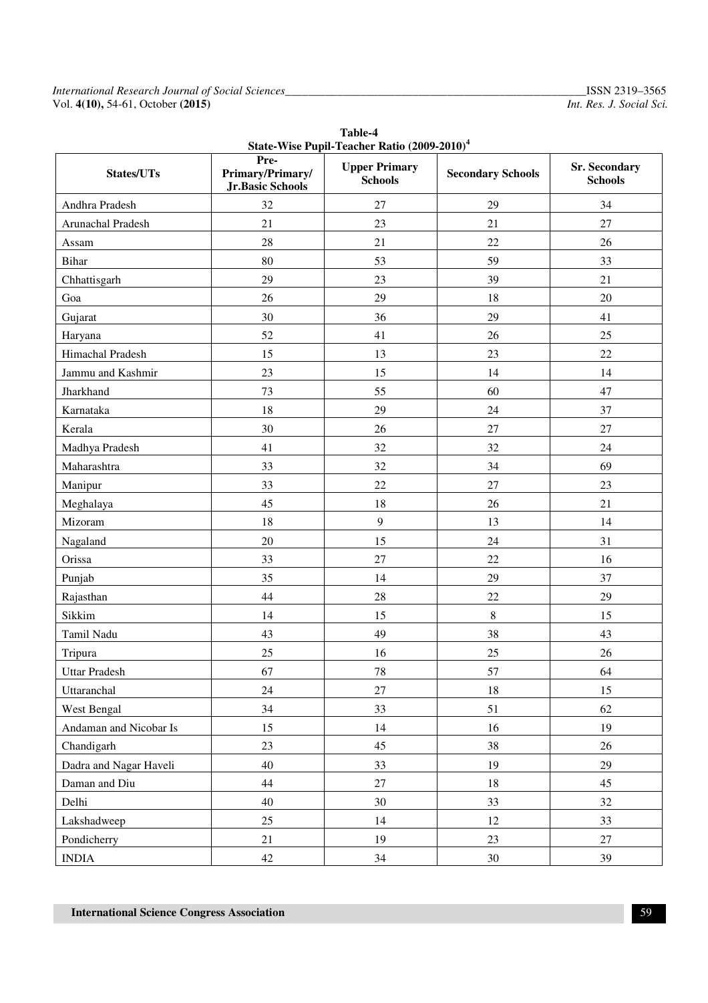| States/UTs             | $\cdots$ $\cdots$ $\cdots$ $\cdots$<br>Pre-<br>Primary/Primary/<br><b>Jr.Basic Schools</b> | <b>Upper Primary</b><br><b>Schools</b> | $-0.10$<br><b>Secondary Schools</b> | <b>Sr. Secondary</b><br><b>Schools</b> |
|------------------------|--------------------------------------------------------------------------------------------|----------------------------------------|-------------------------------------|----------------------------------------|
| Andhra Pradesh         | 32                                                                                         | 27                                     | 29                                  | 34                                     |
| Arunachal Pradesh      | 21                                                                                         | 23                                     | 21                                  | $27\,$                                 |
| Assam                  | 28                                                                                         | 21                                     | 22                                  | 26                                     |
| <b>Bihar</b>           | 80                                                                                         | 53                                     | 59                                  | 33                                     |
| Chhattisgarh           | 29                                                                                         | 23                                     | 39                                  | 21                                     |
| Goa                    | 26                                                                                         | 29                                     | 18                                  | 20                                     |
| Gujarat                | 30                                                                                         | 36                                     | 29                                  | 41                                     |
| Haryana                | 52                                                                                         | 41                                     | 26                                  | 25                                     |
| Himachal Pradesh       | 15                                                                                         | 13                                     | 23                                  | 22                                     |
| Jammu and Kashmir      | 23                                                                                         | 15                                     | 14                                  | 14                                     |
| Jharkhand              | 73                                                                                         | 55                                     | 60                                  | 47                                     |
| Karnataka              | 18                                                                                         | 29                                     | 24                                  | 37                                     |
| Kerala                 | 30                                                                                         | 26                                     | 27                                  | 27                                     |
| Madhya Pradesh         | 41                                                                                         | 32                                     | 32                                  | 24                                     |
| Maharashtra            | 33                                                                                         | 32                                     | 34                                  | 69                                     |
| Manipur                | 33                                                                                         | 22                                     | 27                                  | 23                                     |
| Meghalaya              | 45                                                                                         | 18                                     | 26                                  | 21                                     |
| Mizoram                | 18                                                                                         | 9                                      | 13                                  | 14                                     |
| Nagaland               | 20                                                                                         | 15                                     | 24                                  | 31                                     |
| Orissa                 | 33                                                                                         | 27                                     | 22                                  | 16                                     |
| Punjab                 | 35                                                                                         | 14                                     | 29                                  | 37                                     |
| Rajasthan              | 44                                                                                         | 28                                     | 22                                  | 29                                     |
| Sikkim                 | 14                                                                                         | 15                                     | $8\,$                               | 15                                     |
| Tamil Nadu             | 43                                                                                         | 49                                     | 38                                  | 43                                     |
| Tripura                | 25                                                                                         | 16                                     | 25                                  | 26                                     |
| <b>Uttar Pradesh</b>   | 67                                                                                         | 78                                     | 57                                  | 64                                     |
| Uttaranchal            | 24                                                                                         | 27                                     | 18                                  | 15                                     |
| West Bengal            | 34                                                                                         | 33                                     | 51                                  | 62                                     |
| Andaman and Nicobar Is | 15                                                                                         | 14                                     | 16                                  | 19                                     |
| Chandigarh             | 23                                                                                         | 45                                     | 38                                  | 26                                     |
| Dadra and Nagar Haveli | 40                                                                                         | 33                                     | 19                                  | $29\,$                                 |
| Daman and Diu          | 44                                                                                         | $27\,$                                 | $18\,$                              | 45                                     |
| Delhi                  | 40                                                                                         | 30                                     | 33                                  | $32\,$                                 |
| Lakshadweep            | 25                                                                                         | 14                                     | 12                                  | 33                                     |
| Pondicherry            | 21                                                                                         | 19                                     | 23                                  | 27                                     |
| <b>INDIA</b>           | 42                                                                                         | 34                                     | $30\,$                              | 39                                     |

**Table-4 State-Wise Pupil-Teacher Ratio (2009-2010)<sup>4</sup>**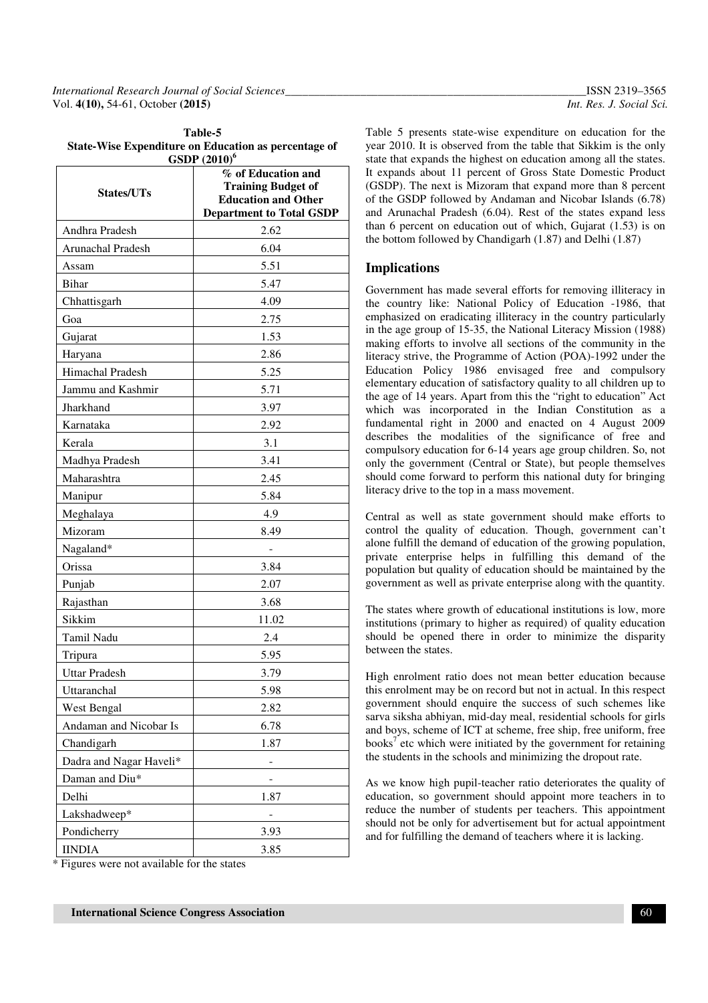| International Research Journal of Social Sciences_ |  |
|----------------------------------------------------|--|
| Vol. 4(10), 54-61, October (2015)                  |  |

| Table-5                                              |  |  |
|------------------------------------------------------|--|--|
| State-Wise Expenditure on Education as percentage of |  |  |
| $GSDP(2010)^6$                                       |  |  |

| ບບມ<br><b>States/UTs</b> | (2010)<br>% of Education and<br><b>Training Budget of</b><br><b>Education and Other</b><br><b>Department to Total GSDP</b> |
|--------------------------|----------------------------------------------------------------------------------------------------------------------------|
| Andhra Pradesh           | 2.62                                                                                                                       |
| Arunachal Pradesh        | 6.04                                                                                                                       |
| Assam                    | 5.51                                                                                                                       |
| <b>Bihar</b>             | 5.47                                                                                                                       |
| Chhattisgarh             | 4.09                                                                                                                       |
| Goa                      | 2.75                                                                                                                       |
| Gujarat                  | 1.53                                                                                                                       |
| Haryana                  | 2.86                                                                                                                       |
| Himachal Pradesh         | 5.25                                                                                                                       |
| Jammu and Kashmir        | 5.71                                                                                                                       |
| Jharkhand                | 3.97                                                                                                                       |
| Karnataka                | 2.92                                                                                                                       |
| Kerala                   | 3.1                                                                                                                        |
| Madhya Pradesh           | 3.41                                                                                                                       |
| Maharashtra              | 2.45                                                                                                                       |
| Manipur                  | 5.84                                                                                                                       |
| Meghalaya                | 4.9                                                                                                                        |
| Mizoram                  | 8.49                                                                                                                       |
| Nagaland*                |                                                                                                                            |
| Orissa                   | 3.84                                                                                                                       |
| Punjab                   | 2.07                                                                                                                       |
| Rajasthan                | 3.68                                                                                                                       |
| Sikkim                   | 11.02                                                                                                                      |
| Tamil Nadu               | 2.4                                                                                                                        |
| Tripura                  | 5.95                                                                                                                       |
| <b>Uttar Pradesh</b>     | 3.79                                                                                                                       |
| Uttaranchal              | 5.98                                                                                                                       |
| West Bengal              | 2.82                                                                                                                       |
| Andaman and Nicobar Is   | 6.78                                                                                                                       |
| Chandigarh               | 1.87                                                                                                                       |
| Dadra and Nagar Haveli*  |                                                                                                                            |
| Daman and Diu*           |                                                                                                                            |
| Delhi                    | 1.87                                                                                                                       |
| Lakshadweep*             |                                                                                                                            |
| Pondicherry              | 3.93                                                                                                                       |
| <b>IINDIA</b>            | 3.85                                                                                                                       |

\* Figures were not available for the states

Table 5 presents state-wise expenditure on education for the year 2010. It is observed from the table that Sikkim is the only state that expands the highest on education among all the states. It expands about 11 percent of Gross State Domestic Product (GSDP). The next is Mizoram that expand more than 8 percent of the GSDP followed by Andaman and Nicobar Islands (6.78) and Arunachal Pradesh (6.04). Rest of the states expand less than 6 percent on education out of which, Gujarat (1.53) is on the bottom followed by Chandigarh (1.87) and Delhi (1.87)

## **Implications**

Government has made several efforts for removing illiteracy in the country like: National Policy of Education -1986, that emphasized on eradicating illiteracy in the country particularly in the age group of 15-35, the National Literacy Mission (1988) making efforts to involve all sections of the community in the literacy strive, the Programme of Action (POA)-1992 under the Education Policy 1986 envisaged free and compulsory elementary education of satisfactory quality to all children up to the age of 14 years. Apart from this the "right to education" Act which was incorporated in the Indian Constitution as a fundamental right in 2000 and enacted on 4 August 2009 describes the modalities of the significance of free and compulsory education for 6-14 years age group children. So, not only the government (Central or State), but people themselves should come forward to perform this national duty for bringing literacy drive to the top in a mass movement.

Central as well as state government should make efforts to control the quality of education. Though, government can't alone fulfill the demand of education of the growing population, private enterprise helps in fulfilling this demand of the population but quality of education should be maintained by the government as well as private enterprise along with the quantity.

The states where growth of educational institutions is low, more institutions (primary to higher as required) of quality education should be opened there in order to minimize the disparity between the states.

High enrolment ratio does not mean better education because this enrolment may be on record but not in actual. In this respect government should enquire the success of such schemes like sarva siksha abhiyan, mid-day meal, residential schools for girls and boys, scheme of ICT at scheme, free ship, free uniform, free books<sup>7</sup> etc which were initiated by the government for retaining the students in the schools and minimizing the dropout rate.

As we know high pupil-teacher ratio deteriorates the quality of education, so government should appoint more teachers in to reduce the number of students per teachers. This appointment should not be only for advertisement but for actual appointment and for fulfilling the demand of teachers where it is lacking.